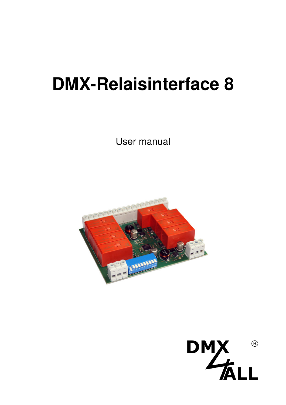# **DMX-Relaisinterface 8**

User manual



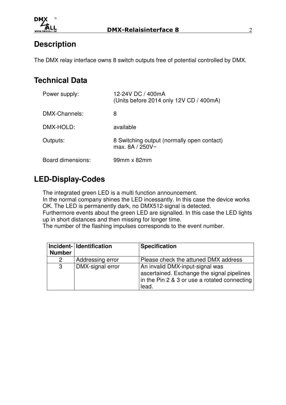

## **Description**

The DMX relay interface owns 8 switch outputs free of potential controlled by DMX.

#### **Technical Data**

| Power supply:     | 12-24V DC / 400mA<br>(Units before 2014 only 12V CD / 400mA)  |
|-------------------|---------------------------------------------------------------|
| DMX-Channels:     | 8                                                             |
| DMX-HOLD:         | available                                                     |
| Outputs:          | 8 Switching output (normally open contact)<br>max. 8A / 250V~ |
| Board dimensions: | 99mm x 82mm                                                   |

# **LED-Display-Codes**

The integrated green LED is a multi function announcement.

In the normal company shines the LED incessantly. In this case the device works OK. The LED is permanently dark, no DMX512-signal is detected.

Furthermore events about the green LED are signalled. In this case the LED lights up in short distances and then missing for longer time.

The number of the flashing impulses corresponds to the event number.

| <b>Number</b> | Incident- Identification | <b>Specification</b>                                                                                                                   |
|---------------|--------------------------|----------------------------------------------------------------------------------------------------------------------------------------|
| 2             | Addressing error         | Please check the attuned DMX address                                                                                                   |
| -3            | DMX-signal error         | An invalid DMX-input-signal was<br>ascertained. Exchange the signal pipelines<br>in the Pin 2 & 3 or use a rotated connecting<br>lead. |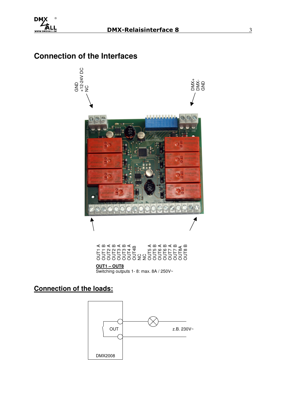# **Connection of the Interfaces**



| של האורים לא האורים לא האורים לא האורים לא האורים לא האורים לא האורים לא האורים לא האורים לא האיר הא<br>אירופיה לא האירופיה לא האירופיה לא האירופיה לא האירופיה לא האירופיה לא האירופיה לא האירופיה לא הא א הא א הא הא<br>האירופיה |  |  |  |
|------------------------------------------------------------------------------------------------------------------------------------------------------------------------------------------------------------------------------------|--|--|--|
| 000000002200000000                                                                                                                                                                                                                 |  |  |  |
| OUT1 – OUT8                                                                                                                                                                                                                        |  |  |  |
| Switching outputs 1-8: max. 8A / 250V~                                                                                                                                                                                             |  |  |  |

#### **OUT1 – OUT8**

### **Connection of the loads:**

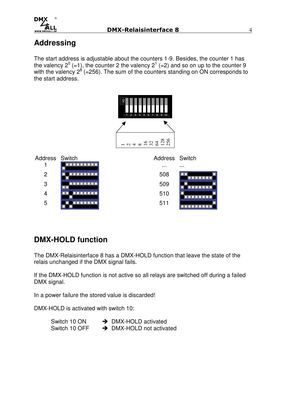

# **Addressing**

The start address is adjustable about the counters 1-9. Besides, the counter 1 has the valency  $2^0$  (=1), the counter 2 the valency  $2^1$  (=2) and so on up to the counter 9 with the valency  $2^8$  (=256). The sum of the counters standing on ON corresponds to the start address.



# **DMX-HOLD function**

The DMX-Relaisinterface 8 has a DMX-HOLD function that leave the state of the relais unchanged if the DMX signal fails.

If the DMX-HOLD function is not active so all relays are switched off during a failed DMX signal.

In a power failure the stored value is discarded!

DMX-HOLD is activated with switch 10:

| Switch 10 ON  | $\rightarrow$ DMX-HOLD activated     |
|---------------|--------------------------------------|
| Switch 10 OFF | $\rightarrow$ DMX-HOLD not activated |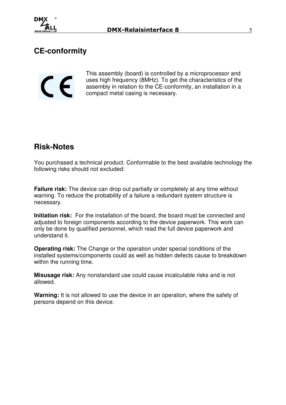

# **CE-conformity**

 $\mathsf{\Gamma}\in$ 

This assembly (board) is controlled by a microprocessor and uses high frequency (8MHz). To get the characteristics of the assembly in relation to the CE-conformity, an installation in a compact metal casing is necessary.

### **Risk-Notes**

You purchased a technical product. Conformable to the best available technology the following risks should not excluded:

**Failure risk:** The device can drop out partially or completely at any time without warning. To reduce the probability of a failure a redundant system structure is necessary.

**Initiation risk:** For the installation of the board, the board must be connected and adjusted to foreign components according to the device paperwork. This work can only be done by qualified personnel, which read the full device paperwork and understand it.

**Operating risk:** The Change or the operation under special conditions of the installed systems/components could as well as hidden defects cause to breakdown within the running time.

**Misusage risk:** Any nonstandard use could cause incalculable risks and is not allowed.

**Warning:** It is not allowed to use the device in an operation, where the safety of persons depend on this device.